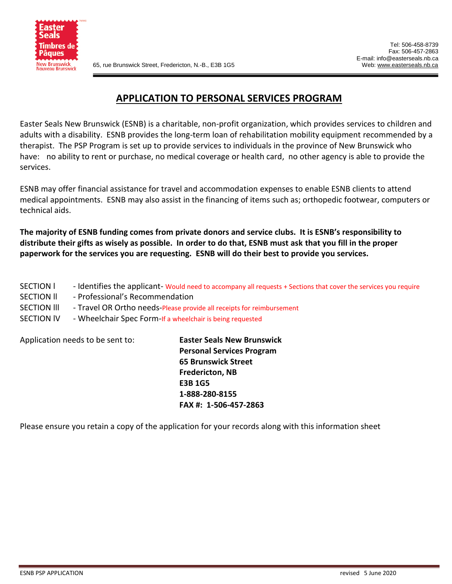

#### **APPLICATION TO PERSONAL SERVICES PROGRAM**

Easter Seals New Brunswick (ESNB) is a charitable, non-profit organization, which provides services to children and adults with a disability. ESNB provides the long-term loan of rehabilitation mobility equipment recommended by a therapist. The PSP Program is set up to provide services to individuals in the province of New Brunswick who have: no ability to rent or purchase, no medical coverage or health card, no other agency is able to provide the services.

ESNB may offer financial assistance for travel and accommodation expenses to enable ESNB clients to attend medical appointments. ESNB may also assist in the financing of items such as; orthopedic footwear, computers or technical aids.

**The majority of ESNB funding comes from private donors and service clubs. It is ESNB's responsibility to distribute their gifts as wisely as possible. In order to do that, ESNB must ask that you fill in the proper paperwork for the services you are requesting. ESNB will do their best to provide you services.** 

- SECTION  $\parallel$  Identifies the applicant-Would need to accompany all requests + Sections that cover the services you require
- SECTION II Professional's Recommendation
- SECTION III Travel OR Ortho needs-Please provide all receipts for reimbursement
- SECTION lV Wheelchair Spec Form-If a wheelchair is being requested

Application needs to be sent to: **Easter Seals New Brunswick**

**Personal Services Program 65 Brunswick Street Fredericton, NB E3B 1G5 1-888-280-8155 FAX #: 1-506-457-2863**

Please ensure you retain a copy of the application for your records along with this information sheet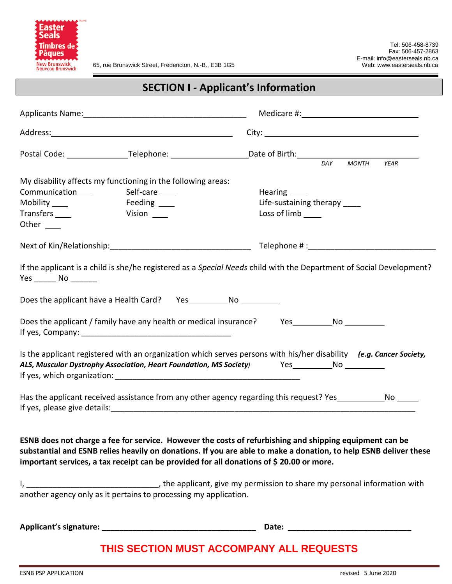

65, rue Brunswick Street, Fredericton, N.-B., E3B 1G5 Web[: www.easterseals.nb.ca](http://www.easterseals.nb.ca/)

|                                                                                                                                                                                                                                                                                     |                                                                                                          |                                                                                                                                                                                                                             | <b>MONTH</b><br><b>YEAR</b> |
|-------------------------------------------------------------------------------------------------------------------------------------------------------------------------------------------------------------------------------------------------------------------------------------|----------------------------------------------------------------------------------------------------------|-----------------------------------------------------------------------------------------------------------------------------------------------------------------------------------------------------------------------------|-----------------------------|
| Communication Self-care Communication Communication Communication Communication Communication Communication Communication Communication Communication Communication Communication Communication Communication Communication Co<br>Mobility _____<br>Transfers _____<br>Other $\_\_$ | My disability affects my functioning in the following areas:<br>Feeding ____<br><b>Example 12</b> Vision | Hearing _____<br>Life-sustaining therapy ____<br>Loss of $limb$ $\_\_$                                                                                                                                                      |                             |
|                                                                                                                                                                                                                                                                                     |                                                                                                          |                                                                                                                                                                                                                             |                             |
| $Yes$ No $\_\_\_\_\$                                                                                                                                                                                                                                                                |                                                                                                          | If the applicant is a child is she/he registered as a Special Needs child with the Department of Social Development?                                                                                                        |                             |
| Does the applicant have a Health Card? Yes No                                                                                                                                                                                                                                       |                                                                                                          |                                                                                                                                                                                                                             |                             |
|                                                                                                                                                                                                                                                                                     |                                                                                                          | Does the applicant / family have any health or medical insurance? Yes Mo No                                                                                                                                                 |                             |
|                                                                                                                                                                                                                                                                                     |                                                                                                          | Is the applicant registered with an organization which serves persons with his/her disability (e.g. Cancer Society,<br>ALS, Muscular Dystrophy Association, Heart Foundation, MS Society) Yes No No                         |                             |
|                                                                                                                                                                                                                                                                                     |                                                                                                          | Has the applicant received assistance from any other agency regarding this request? Yes No No                                                                                                                               |                             |
|                                                                                                                                                                                                                                                                                     |                                                                                                          | ESNB does not charge a fee for service. However the costs of refurbishing and shipping equipment can be<br>substantial and ESNB relies heavily on donations. If you are able to make a donation, to help ESNB deliver these |                             |

**important services, a tax receipt can be provided for all donations of \$ 20.00 or more.**

I, \_\_\_\_\_\_\_\_\_\_\_\_\_\_\_\_\_\_\_\_\_\_\_\_\_\_\_\_\_\_\_\_\_\_, the applicant, give my permission to share my personal information with another agency only as it pertains to processing my application.

**Applicant's signature: \_\_\_\_\_\_\_\_\_\_\_\_\_\_\_\_\_\_\_\_\_\_\_\_\_\_\_\_\_\_\_\_\_\_\_ Date: \_\_\_\_\_\_\_\_\_\_\_\_\_\_\_\_\_\_\_\_\_\_\_\_\_\_\_\_**

### **THIS SECTION MUST ACCOMPANY ALL REQUESTS**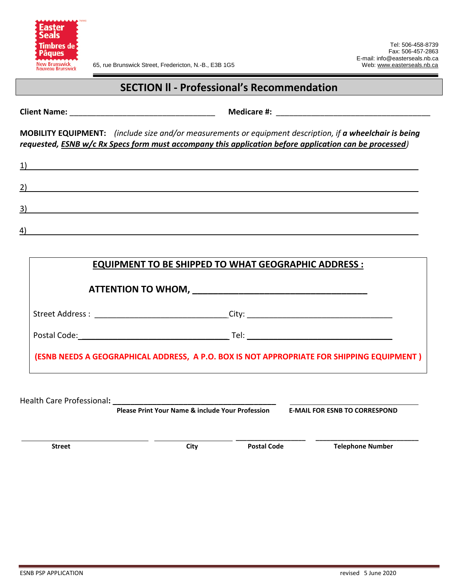

# **SECTION ll - Professional's Recommendation**

**Client Name:**  $\blacksquare$ 

**MOBILITY EQUIPMENT:** *(include size and/or measurements or equipment description, if a wheelchair is being requested, ESNB w/c Rx Specs form must accompany this application before application can be processed)*

| $\perp$          |  |  |  |
|------------------|--|--|--|
| 2                |  |  |  |
| $\vert 3 \vert$  |  |  |  |
| $\left 4\right $ |  |  |  |

| <b>EQUIPMENT TO BE SHIPPED TO WHAT GEOGRAPHIC ADDRESS:</b>                                |  |
|-------------------------------------------------------------------------------------------|--|
|                                                                                           |  |
| Street Address : ________________________________City: _________________________          |  |
|                                                                                           |  |
| (ESNB NEEDS A GEOGRAPHICAL ADDRESS, A P.O. BOX IS NOT APPROPRIATE FOR SHIPPING EQUIPMENT) |  |
|                                                                                           |  |

Health Care Professional**: \_\_\_\_\_\_\_\_\_\_\_\_\_\_\_\_\_\_\_\_\_\_\_\_\_\_\_\_\_\_\_\_\_\_\_\_\_ Please Print Your Name & include Your Profession E-MAIL FOR ESNB TO CORRESPOND \_\_\_\_\_\_\_\_\_\_\_\_\_\_\_\_\_\_\_ \_\_\_\_\_\_\_\_\_\_\_\_\_\_\_\_\_\_\_\_\_\_\_\_\_\_\_\_ Street City** City **City** Postal Code **Telephone Number**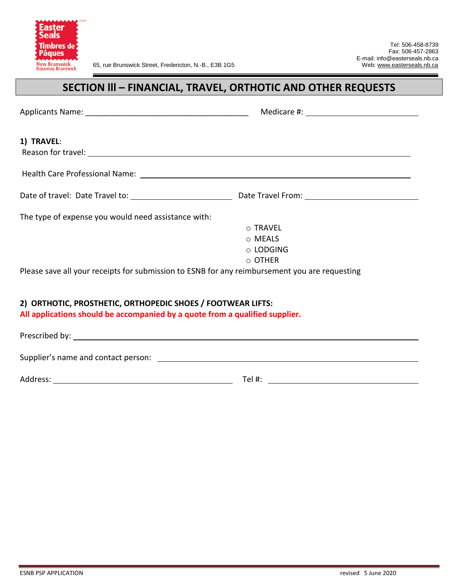

# **SECTION lll – FINANCIAL, TRAVEL, ORTHOTIC AND OTHER REQUESTS**

| 1) TRAVEL:                                                                                                                                  |                                                                                                                 |
|---------------------------------------------------------------------------------------------------------------------------------------------|-----------------------------------------------------------------------------------------------------------------|
|                                                                                                                                             | Health Care Professional Name: 1998 and 2008 and 2008 and 2008 and 2008 and 2008 and 2008 and 2008 and 2008 and |
|                                                                                                                                             |                                                                                                                 |
|                                                                                                                                             |                                                                                                                 |
| The type of expense you would need assistance with:                                                                                         |                                                                                                                 |
|                                                                                                                                             | ○ TRAVEL                                                                                                        |
|                                                                                                                                             | $\circ$ MEALS                                                                                                   |
|                                                                                                                                             | $\circ$ LODGING                                                                                                 |
|                                                                                                                                             | $\circ$ OTHER                                                                                                   |
|                                                                                                                                             | Please save all your receipts for submission to ESNB for any reimbursement you are requesting                   |
| 2) ORTHOTIC, PROSTHETIC, ORTHOPEDIC SHOES / FOOTWEAR LIFTS:<br>All applications should be accompanied by a quote from a qualified supplier. |                                                                                                                 |
|                                                                                                                                             |                                                                                                                 |
|                                                                                                                                             |                                                                                                                 |
|                                                                                                                                             |                                                                                                                 |